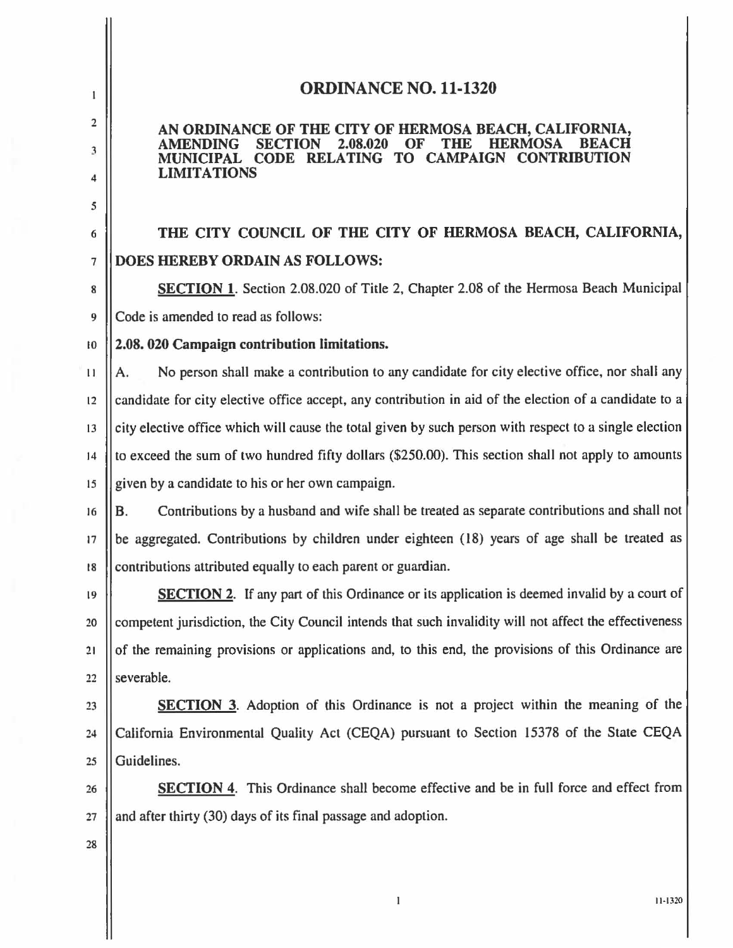## ORDINANCE NO. 11·1320

## AN ORDINANCE OF THE CITY OF HERMOSA BEACH, CALIFORNIA,<br>AMENDING SECTION 2.08.020 OF THE HERMOSA BEACH AMENDING SECTION 2.08.020 OF THE HERMOSA BEACH MUNICIPAL CODE RELATING TO CAMPAIGN CONTRIBUTION LIMITATIONS

6 THE CITY COUNCIL OF THE CITY OF HERMOSA BEACH, CALIFORNIA, 7 DOES HEREBY ORDAIN AS FOLLOWS:

8 | SECTION 1. Section 2.08.020 of Title 2, Chapter 2.08 of the Hermosa Beach Municipal 9 Code is amended to read as follows:

10 2.08. 020 Campaign contribution limitations.

 $\vert A$ . No person shall make a contribution to any candidate for city elective office, nor shall any  $12$  | candidate for city elective office accept, any contribution in aid of the election of a candidate to a  $13$   $\parallel$  city elective office which will cause the total given by such person with respect to a single election 14  $\parallel$  to exceed the sum of two hundred fifty dollars (\$250.00). This section shall not apply to amounts 15 given by a candidate to his or her own campaign.

16 **B.** Contributions by a husband and wife shall be treated as separate contributions and shall not <sup>17</sup>be aggregated. Contributions by children under eighteen (18) years of age shall be treated as 18 Contributions attributed equally to each parent or guardian.

19 SECTION 2. If any part of this Ordinance or its application is deemed invalid by a court of 20 Competent jurisdiction, the City Council intends that such invalidity will not affect the effectiveness 21 of the remaining provisions or applications and. to this end. the provisions of this Ordinance are  $22$  || severable.

23 **SECTION** 3. Adoption of this Ordinance is not a project within the meaning of the 24 | California Environmental Quality Act (CEQA) pursuant to Section 15378 of the State CEQA 25 || Guidelines.

26 **SECTION** 4. This Ordinance shall become effective and be in full force and effect from  $27$  || and after thirty (30) days of its final passage and adoption.

 $\bf{l}$ 

28

2

 $\mathbf{1}$ 

3

4

5